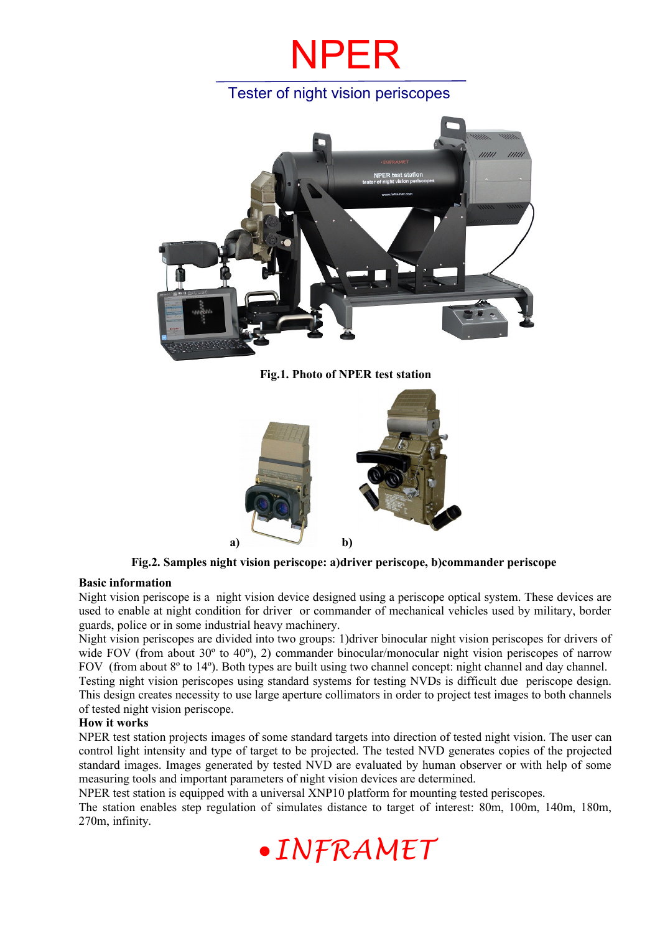## NPER

### Tester of night vision periscopes



**Fig.1. Photo of NPER test station**



**Fig.2. Samples night vision periscope: a)driver periscope, b)commander periscope** 

### **Basic information**

Night vision periscope is a night vision device designed using a periscope optical system. These devices are used to enable at night condition for driver or commander of mechanical vehicles used by military, border guards, police or in some industrial heavy machinery.

Night vision periscopes are divided into two groups: 1)driver binocular night vision periscopes for drivers of wide FOV (from about  $30^{\circ}$  to  $40^{\circ}$ ), 2) commander binocular/monocular night vision periscopes of narrow FOV (from about 8<sup>o</sup> to 14<sup>o</sup>). Both types are built using two channel concept: night channel and day channel. Testing night vision periscopes using standard systems for testing NVDs is difficult due periscope design. This design creates necessity to use large aperture collimators in order to project test images to both channels of tested night vision periscope.

### **How it works**

NPER test station projects images of some standard targets into direction of tested night vision. The user can control light intensity and type of target to be projected. The tested NVD generates copies of the projected standard images. Images generated by tested NVD are evaluated by human observer or with help of some measuring tools and important parameters of night vision devices are determined.

NPER test station is equipped with a universal XNP10 platform for mounting tested periscopes.

The station enables step regulation of simulates distance to target of interest: 80m, 100m, 140m, 180m, 270m, infinity.